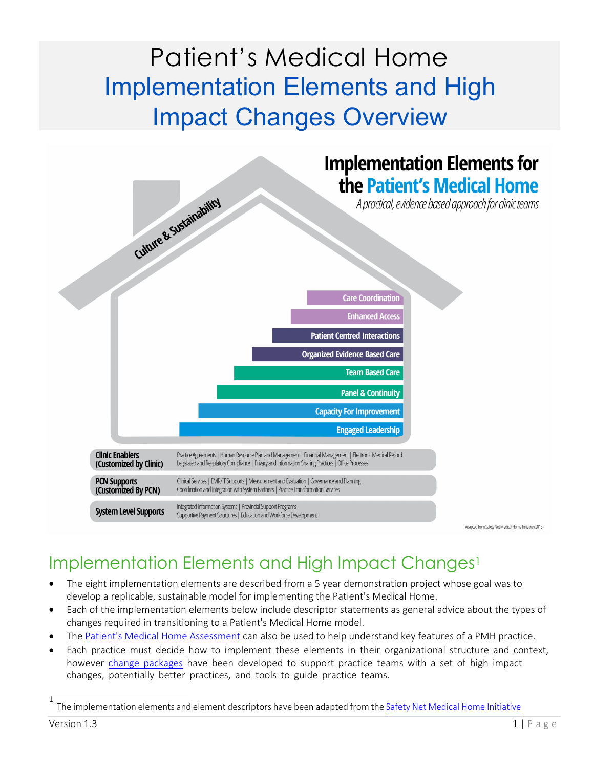# Patient's Medical Home Implementation Elements and High Impact Changes Overview



Implementation Elements and High Impact Changes<sup>1</sup>

- The eight implementation elements are described from a 5 year demonstration project whose goal was to develop a replicable, sustainable model for implementing the Patient's Medical Home.
- Each of the implementation elements below include descriptor statements as general advice about the types of changes required in transitioning to a Patient's Medical Home model.
- The [Patient's Medical Home Assessment](https://actt.albertadoctors.org/PMH/capacity-for-improvement/PMH-Assessments/Pages/default.aspx) can also be used to help understand key features of a PMH practice.
- Each practice must decide how to implement these elements in their organizational structure and context, however [change packages](https://actt.albertadoctors.org/PMH/capacity-for-improvement/PMH-Change-Packages/Pages/default.aspx) have been developed to support practice teams with a set of high impact changes, potentially better practices, and tools to guide practice teams.

<sup>1</sup>  The implementation elements and element descriptors have been adapted from the [Safety Net Medical Home Initiative](e implementation elements and element descriptors have been adapted from the Safety Net Medical Home Initiative)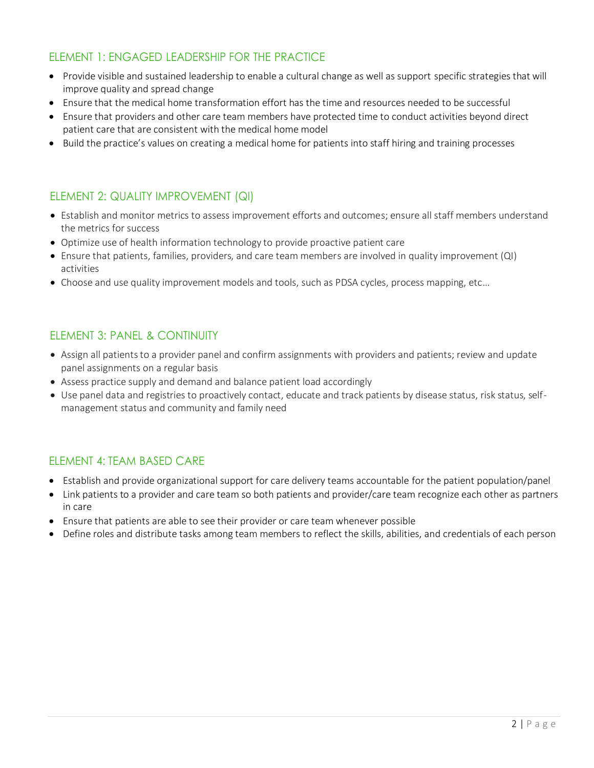# ELEMENT 1: ENGAGED LEADERSHIP FOR THE PRACTICE

- Provide visible and sustained leadership to enable a cultural change as well as support specific strategies that will improve quality and spread change
- Ensure that the medical home transformation effort has the time and resources needed to be successful
- Ensure that providers and other care team members have protected time to conduct activities beyond direct patient care that are consistent with the medical home model
- Build the practice's values on creating a medical home for patients into staff hiring and training processes

## ELEMENT 2: QUALITY IMPROVEMENT (QI)

- Establish and monitor metrics to assess improvement efforts and outcomes; ensure all staff members understand the metrics for success
- Optimize use of health information technology to provide proactive patient care
- Ensure that patients, families, providers, and care team members are involved in quality improvement (QI) activities
- Choose and use quality improvement models and tools, such as PDSA cycles, process mapping, etc…

#### ELEMENT 3: PANEL & CONTINUITY

- Assign all patients to a provider panel and confirm assignments with providers and patients; review and update panel assignments on a regular basis
- Assess practice supply and demand and balance patient load accordingly
- Use panel data and registries to proactively contact, educate and track patients by disease status, risk status, selfmanagement status and community and family need

#### ELEMENT 4: TEAM BASED CARE

- Establish and provide organizational support for care delivery teams accountable for the patient population/panel
- Link patients to a provider and care team so both patients and provider/care team recognize each other as partners in care
- Ensure that patients are able to see their provider or care team whenever possible
- Define roles and distribute tasks among team members to reflect the skills, abilities, and credentials of each person